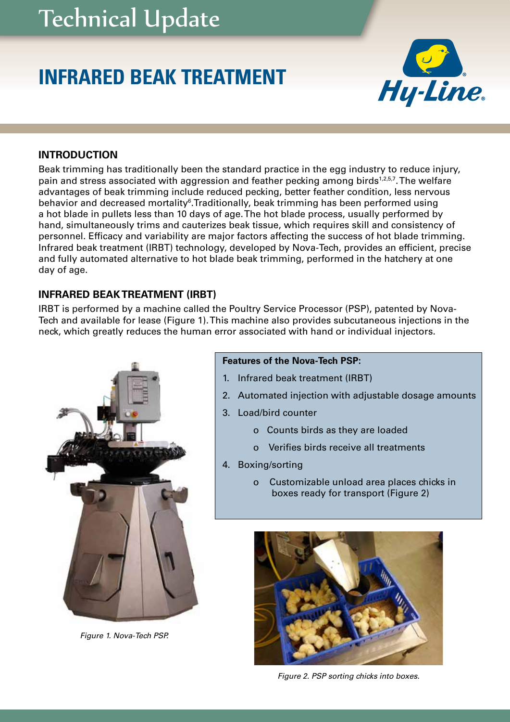# Technical Update

# **INFRARED BEAK TREATMENT**



## **INTRODUCTION**

Beak trimming has traditionally been the standard practice in the egg industry to reduce injury, pain and stress associated with aggression and feather pecking among birds<sup>1,2,5,7</sup>. The welfare advantages of beak trimming include reduced pecking, better feather condition, less nervous behavior and decreased mortality<sup>6</sup>. Traditionally, beak trimming has been performed using a hot blade in pullets less than 10 days of age. The hot blade process, usually performed by hand, simultaneously trims and cauterizes beak tissue, which requires skill and consistency of personnel. Efficacy and variability are major factors affecting the success of hot blade trimming. Infrared beak treatment (IRBT) technology, developed by Nova-Tech, provides an efficient, precise and fully automated alternative to hot blade beak trimming, performed in the hatchery at one day of age.

# **INFRARED BEAK TREATMENT (IRBT)**

IRBT is performed by a machine called the Poultry Service Processor (PSP), patented by Nova-Tech and available for lease (Figure 1). This machine also provides subcutaneous injections in the neck, which greatly reduces the human error associated with hand or individual injectors.



*Figure 1. Nova-Tech PSP.*

#### **Features of the Nova-Tech PSP:**

- 1. Infrared beak treatment (IRBT)
- 2. Automated injection with adjustable dosage amounts
- 3. Load/bird counter
	- o Counts birds as they are loaded
	- o Verifies birds receive all treatments
- 4. Boxing/sorting
	- o Customizable unload area places chicks in boxes ready for transport (Figure 2)



*Figure 2. PSP sorting chicks into boxes.*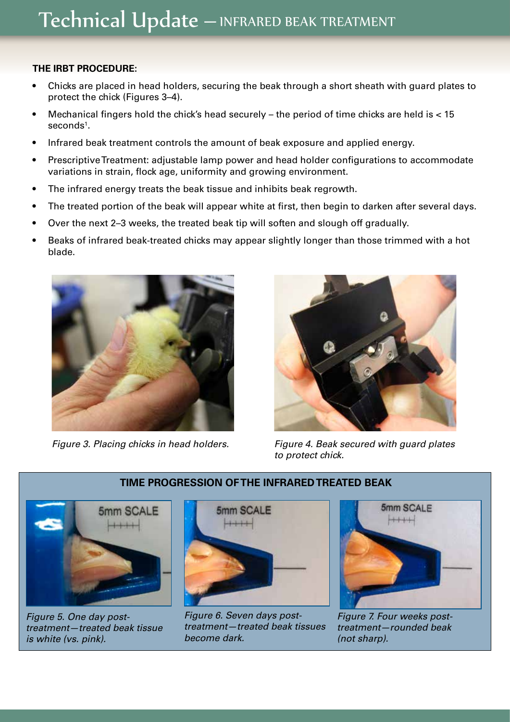### **THE IRBT PROCEDURE:**

- Chicks are placed in head holders, securing the beak through a short sheath with guard plates to protect the chick (Figures 3–4).
- Mechanical fingers hold the chick's head securely the period of time chicks are held is  $<$  15  $\mathsf{s}\mathsf{econds}\mathsf{^{1}}$ .
- Infrared beak treatment controls the amount of beak exposure and applied energy.
- Prescriptive Treatment: adjustable lamp power and head holder configurations to accommodate variations in strain, flock age, uniformity and growing environment.
- The infrared energy treats the beak tissue and inhibits beak regrowth.
- The treated portion of the beak will appear white at first, then begin to darken after several days.
- Over the next 2–3 weeks, the treated beak tip will soften and slough off gradually.
- Beaks of infrared beak-treated chicks may appear slightly longer than those trimmed with a hot blade.



*Figure 3. Placing chicks in head holders.*



*Figure 4. Beak secured with guard plates to protect chick.*



*Figure 5. One day posttreatment—treated beak tissue is white (vs. pink).*



*Figure 6. Seven days posttreatment—treated beak tissues become dark.*



*Figure 7. Four weeks posttreatment—rounded beak (not sharp).*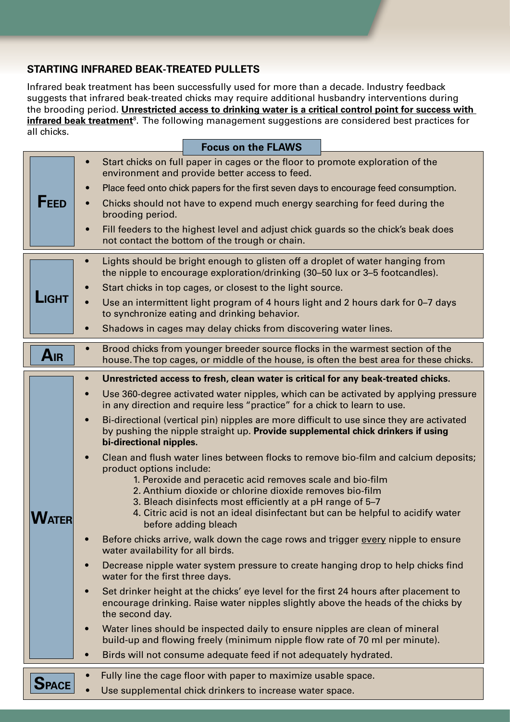# **STARTING INFRARED BEAK-TREATED PULLETS**

Infrared beak treatment has been successfully used for more than a decade. Industry feedback suggests that infrared beak-treated chicks may require additional husbandry interventions during the brooding period. **Unrestricted access to drinking water is a critical control point for success with infrared beak treatment**8. The following management suggestions are considered best practices for all chicks.

|              |           |                                                                                                                                                                         | <b>Focus on the FLAWS</b>                                                                                                                                                                                  |                                                                                                                                                                            |  |
|--------------|-----------|-------------------------------------------------------------------------------------------------------------------------------------------------------------------------|------------------------------------------------------------------------------------------------------------------------------------------------------------------------------------------------------------|----------------------------------------------------------------------------------------------------------------------------------------------------------------------------|--|
| <b>FEED</b>  |           | Start chicks on full paper in cages or the floor to promote exploration of the<br>environment and provide better access to feed.                                        |                                                                                                                                                                                                            |                                                                                                                                                                            |  |
|              | $\bullet$ | Place feed onto chick papers for the first seven days to encourage feed consumption.                                                                                    |                                                                                                                                                                                                            |                                                                                                                                                                            |  |
|              | $\bullet$ | Chicks should not have to expend much energy searching for feed during the<br>brooding period.                                                                          |                                                                                                                                                                                                            |                                                                                                                                                                            |  |
|              | $\bullet$ | Fill feeders to the highest level and adjust chick guards so the chick's beak does<br>not contact the bottom of the trough or chain.                                    |                                                                                                                                                                                                            |                                                                                                                                                                            |  |
| <b>LIGHT</b> |           | Lights should be bright enough to glisten off a droplet of water hanging from<br>the nipple to encourage exploration/drinking (30–50 lux or 3–5 footcandles).           |                                                                                                                                                                                                            |                                                                                                                                                                            |  |
|              | $\bullet$ | Start chicks in top cages, or closest to the light source.                                                                                                              |                                                                                                                                                                                                            |                                                                                                                                                                            |  |
|              |           | Use an intermittent light program of 4 hours light and 2 hours dark for 0-7 days<br>to synchronize eating and drinking behavior.                                        |                                                                                                                                                                                                            |                                                                                                                                                                            |  |
|              | $\bullet$ | Shadows in cages may delay chicks from discovering water lines.                                                                                                         |                                                                                                                                                                                                            |                                                                                                                                                                            |  |
| AIR          |           | Brood chicks from younger breeder source flocks in the warmest section of the<br>house. The top cages, or middle of the house, is often the best area for these chicks. |                                                                                                                                                                                                            |                                                                                                                                                                            |  |
|              | $\bullet$ |                                                                                                                                                                         | Unrestricted access to fresh, clean water is critical for any beak-treated chicks.                                                                                                                         |                                                                                                                                                                            |  |
|              | $\bullet$ |                                                                                                                                                                         | in any direction and require less "practice" for a chick to learn to use.                                                                                                                                  | Use 360-degree activated water nipples, which can be activated by applying pressure                                                                                        |  |
|              | $\bullet$ | bi-directional nipples.                                                                                                                                                 | by pushing the nipple straight up. Provide supplemental chick drinkers if using                                                                                                                            | Bi-directional (vertical pin) nipples are more difficult to use since they are activated                                                                                   |  |
|              | $\bullet$ | product options include:                                                                                                                                                | 1. Peroxide and peracetic acid removes scale and bio-film<br>2. Anthium dioxide or chlorine dioxide removes bio-film<br>3. Bleach disinfects most efficiently at a pH range of 5-7<br>before adding bleach | Clean and flush water lines between flocks to remove bio-film and calcium deposits;<br>4. Citric acid is not an ideal disinfectant but can be helpful to acidify water     |  |
|              | $\bullet$ | water availability for all birds.                                                                                                                                       |                                                                                                                                                                                                            | Before chicks arrive, walk down the cage rows and trigger every nipple to ensure                                                                                           |  |
|              | $\bullet$ | water for the first three days.                                                                                                                                         |                                                                                                                                                                                                            | Decrease nipple water system pressure to create hanging drop to help chicks find                                                                                           |  |
|              | $\bullet$ | the second day.                                                                                                                                                         |                                                                                                                                                                                                            | Set drinker height at the chicks' eye level for the first 24 hours after placement to<br>encourage drinking. Raise water nipples slightly above the heads of the chicks by |  |
|              | $\bullet$ | Water lines should be inspected daily to ensure nipples are clean of mineral<br>build-up and flowing freely (minimum nipple flow rate of 70 ml per minute).             |                                                                                                                                                                                                            |                                                                                                                                                                            |  |
|              | $\bullet$ |                                                                                                                                                                         | Birds will not consume adequate feed if not adequately hydrated.                                                                                                                                           |                                                                                                                                                                            |  |
| <b>SPACE</b> |           |                                                                                                                                                                         | Fully line the cage floor with paper to maximize usable space.<br>Use supplemental chick drinkers to increase water space.                                                                                 |                                                                                                                                                                            |  |